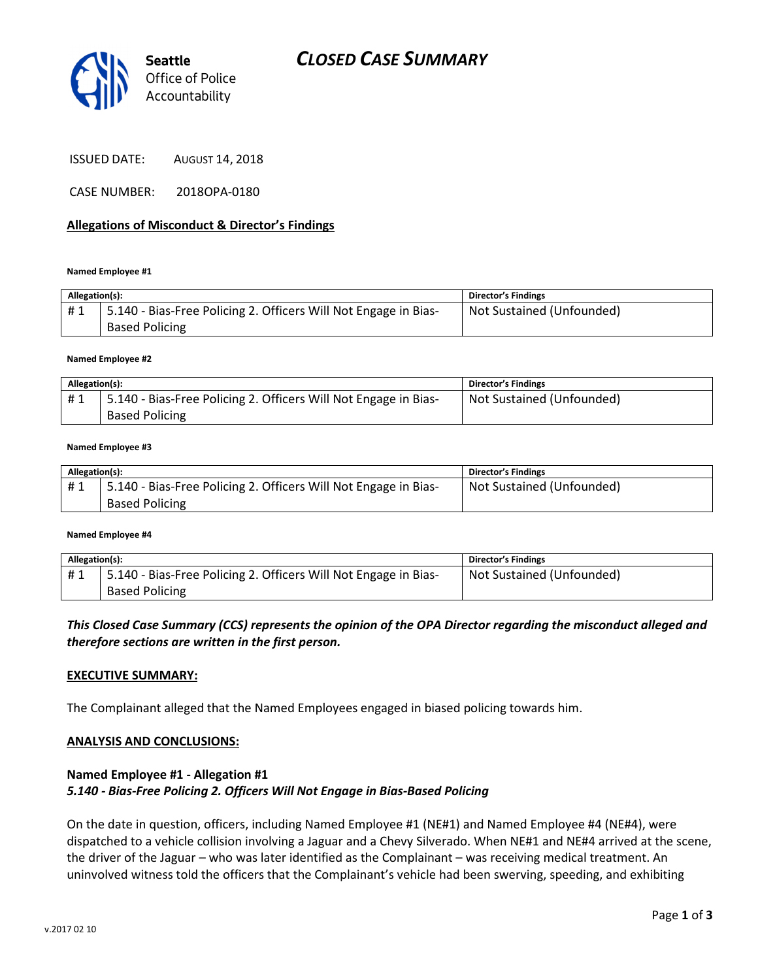

ISSUED DATE: AUGUST 14, 2018

CASE NUMBER: 2018OPA-0180

## Allegations of Misconduct & Director's Findings

#### Named Employee #1

| Allegation(s): |                                                                                          | <b>Director's Findings</b> |
|----------------|------------------------------------------------------------------------------------------|----------------------------|
| #1             | 5.140 - Bias-Free Policing 2. Officers Will Not Engage in Bias-<br><b>Based Policing</b> | Not Sustained (Unfounded)  |
|                |                                                                                          |                            |

#### Named Employee #2

| Allegation(s): |                                                                 | <b>Director's Findings</b> |
|----------------|-----------------------------------------------------------------|----------------------------|
| #1             | 5.140 - Bias-Free Policing 2. Officers Will Not Engage in Bias- | Not Sustained (Unfounded)  |
|                | <b>Based Policing</b>                                           |                            |

### Named Employee #3

| Allegation(s): |                                                                 | <b>Director's Findings</b> |
|----------------|-----------------------------------------------------------------|----------------------------|
| #1             | 5.140 - Bias-Free Policing 2. Officers Will Not Engage in Bias- | Not Sustained (Unfounded)  |
|                | <b>Based Policing</b>                                           |                            |

#### Named Employee #4

| Allegation(s): |                                                                 | <b>Director's Findings</b> |
|----------------|-----------------------------------------------------------------|----------------------------|
| #1             | 5.140 - Bias-Free Policing 2. Officers Will Not Engage in Bias- | Not Sustained (Unfounded)  |
|                | <b>Based Policing</b>                                           |                            |

## This Closed Case Summary (CCS) represents the opinion of the OPA Director regarding the misconduct alleged and therefore sections are written in the first person.

## EXECUTIVE SUMMARY:

The Complainant alleged that the Named Employees engaged in biased policing towards him.

## ANALYSIS AND CONCLUSIONS:

## Named Employee #1 - Allegation #1 5.140 - Bias-Free Policing 2. Officers Will Not Engage in Bias-Based Policing

On the date in question, officers, including Named Employee #1 (NE#1) and Named Employee #4 (NE#4), were dispatched to a vehicle collision involving a Jaguar and a Chevy Silverado. When NE#1 and NE#4 arrived at the scene, the driver of the Jaguar – who was later identified as the Complainant – was receiving medical treatment. An uninvolved witness told the officers that the Complainant's vehicle had been swerving, speeding, and exhibiting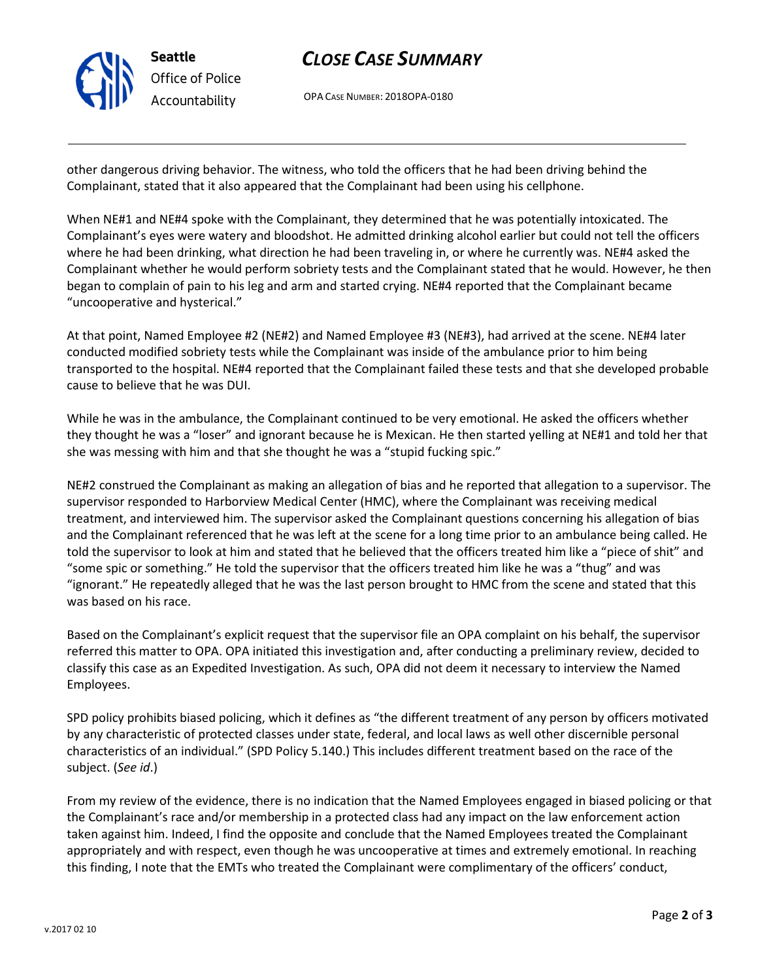

# CLOSE CASE SUMMARY

OPA CASE NUMBER: 2018OPA-0180

other dangerous driving behavior. The witness, who told the officers that he had been driving behind the Complainant, stated that it also appeared that the Complainant had been using his cellphone.

When NE#1 and NE#4 spoke with the Complainant, they determined that he was potentially intoxicated. The Complainant's eyes were watery and bloodshot. He admitted drinking alcohol earlier but could not tell the officers where he had been drinking, what direction he had been traveling in, or where he currently was. NE#4 asked the Complainant whether he would perform sobriety tests and the Complainant stated that he would. However, he then began to complain of pain to his leg and arm and started crying. NE#4 reported that the Complainant became "uncooperative and hysterical."

At that point, Named Employee #2 (NE#2) and Named Employee #3 (NE#3), had arrived at the scene. NE#4 later conducted modified sobriety tests while the Complainant was inside of the ambulance prior to him being transported to the hospital. NE#4 reported that the Complainant failed these tests and that she developed probable cause to believe that he was DUI.

While he was in the ambulance, the Complainant continued to be very emotional. He asked the officers whether they thought he was a "loser" and ignorant because he is Mexican. He then started yelling at NE#1 and told her that she was messing with him and that she thought he was a "stupid fucking spic."

NE#2 construed the Complainant as making an allegation of bias and he reported that allegation to a supervisor. The supervisor responded to Harborview Medical Center (HMC), where the Complainant was receiving medical treatment, and interviewed him. The supervisor asked the Complainant questions concerning his allegation of bias and the Complainant referenced that he was left at the scene for a long time prior to an ambulance being called. He told the supervisor to look at him and stated that he believed that the officers treated him like a "piece of shit" and "some spic or something." He told the supervisor that the officers treated him like he was a "thug" and was "ignorant." He repeatedly alleged that he was the last person brought to HMC from the scene and stated that this was based on his race.

Based on the Complainant's explicit request that the supervisor file an OPA complaint on his behalf, the supervisor referred this matter to OPA. OPA initiated this investigation and, after conducting a preliminary review, decided to classify this case as an Expedited Investigation. As such, OPA did not deem it necessary to interview the Named Employees.

SPD policy prohibits biased policing, which it defines as "the different treatment of any person by officers motivated by any characteristic of protected classes under state, federal, and local laws as well other discernible personal characteristics of an individual." (SPD Policy 5.140.) This includes different treatment based on the race of the subject. (See id.)

From my review of the evidence, there is no indication that the Named Employees engaged in biased policing or that the Complainant's race and/or membership in a protected class had any impact on the law enforcement action taken against him. Indeed, I find the opposite and conclude that the Named Employees treated the Complainant appropriately and with respect, even though he was uncooperative at times and extremely emotional. In reaching this finding, I note that the EMTs who treated the Complainant were complimentary of the officers' conduct,